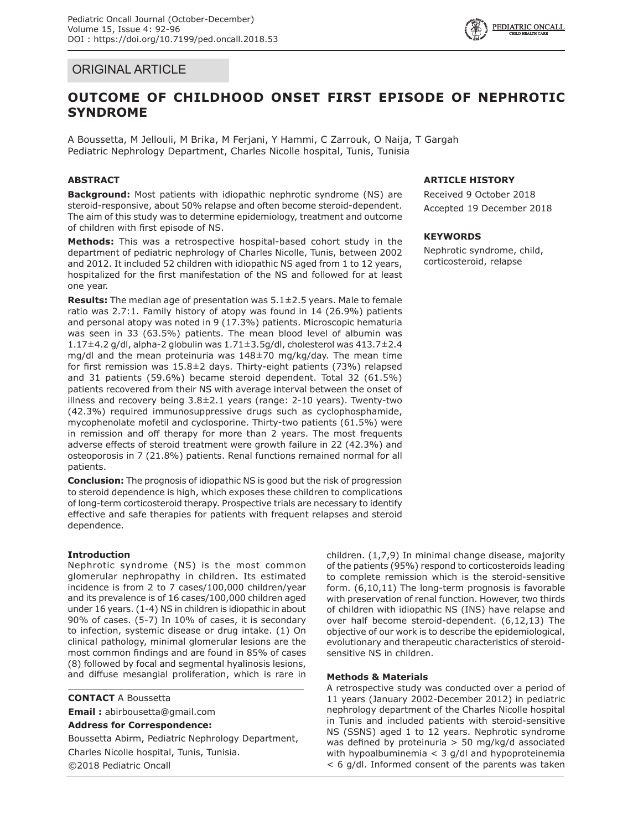



# **OUTCOME OF CHILDHOOD ONSET FIRST EPISODE OF NEPHROTIC SYNDROME**

A Boussetta, M Jellouli, M Brika, M Ferjani, Y Hammi, C Zarrouk, O Naija, T Gargah Pediatric Nephrology Department, Charles Nicolle hospital, Tunis, Tunisia

## **ABSTRACT**

**Background:** Most patients with idiopathic nephrotic syndrome (NS) are steroid-responsive, about 50% relapse and often become steroid-dependent. The aim of this study was to determine epidemiology, treatment and outcome of children with first episode of NS.

**Methods:** This was a retrospective hospital-based cohort study in the department of pediatric nephrology of Charles Nicolle, Tunis, between 2002 and 2012. It included 52 children with idiopathic NS aged from 1 to 12 years, hospitalized for the first manifestation of the NS and followed for at least one year.

**Results:** The median age of presentation was 5.1±2.5 years. Male to female ratio was 2.7:1. Family history of atopy was found in 14 (26.9%) patients and personal atopy was noted in 9 (17.3%) patients. Microscopic hematuria was seen in 33 (63.5%) patients. The mean blood level of albumin was 1.17±4.2 g/dl, alpha-2 globulin was 1.71±3.5g/dl, cholesterol was 413.7±2.4 mg/dl and the mean proteinuria was 148±70 mg/kg/day. The mean time for first remission was 15.8±2 days. Thirty-eight patients (73%) relapsed and 31 patients (59.6%) became steroid dependent. Total 32 (61.5%) patients recovered from their NS with average interval between the onset of illness and recovery being 3.8±2.1 years (range: 2-10 years). Twenty-two (42.3%) required immunosuppressive drugs such as cyclophosphamide, mycophenolate mofetil and cyclosporine. Thirty-two patients (61.5%) were in remission and off therapy for more than 2 years. The most frequents adverse effects of steroid treatment were growth failure in 22 (42.3%) and osteoporosis in 7 (21.8%) patients. Renal functions remained normal for all patients.

**Conclusion:** The prognosis of idiopathic NS is good but the risk of progression to steroid dependence is high, which exposes these children to complications of long-term corticosteroid therapy. Prospective trials are necessary to identify effective and safe therapies for patients with frequent relapses and steroid dependence.

## **Introduction**

Nephrotic syndrome (NS) is the most common glomerular nephropathy in children. Its estimated incidence is from 2 to 7 cases/100,000 children/year and its prevalence is of 16 cases/100,000 children aged under 16 years. (1-4) NS in children is idiopathic in about 90% of cases. (5-7) In 10% of cases, it is secondary to infection, systemic disease or drug intake. (1) On clinical pathology, minimal glomerular lesions are the most common findings and are found in 85% of cases (8) followed by focal and segmental hyalinosis lesions, and diffuse mesangial proliferation, which is rare in

**CONTACT** A Boussetta

**Email :** abirbousetta@gmail.com

**Address for Correspondence:**

Boussetta Abirm, Pediatric Nephrology Department, Charles Nicolle hospital, Tunis, Tunisia. ©2018 Pediatric Oncall

### **ARTICLE HISTORY**

Received 9 October 2018 Accepted 19 December 2018

#### **KEYWORDS**

Nephrotic syndrome, child, corticosteroid, relapse

children. (1,7,9) In minimal change disease, majority of the patients (95%) respond to corticosteroids leading to complete remission which is the steroid-sensitive form. (6,10,11) The long-term prognosis is favorable with preservation of renal function. However, two thirds of children with idiopathic NS (INS) have relapse and over half become steroid-dependent. (6,12,13) The objective of our work is to describe the epidemiological, evolutionary and therapeutic characteristics of steroidsensitive NS in children.

## **Methods & Materials**

A retrospective study was conducted over a period of 11 years (January 2002-December 2012) in pediatric nephrology department of the Charles Nicolle hospital in Tunis and included patients with steroid-sensitive NS (SSNS) aged 1 to 12 years. Nephrotic syndrome was defined by proteinuria > 50 mg/kg/d associated with hypoalbuminemia < 3 g/dl and hypoproteinemia < 6 g/dl. Informed consent of the parents was taken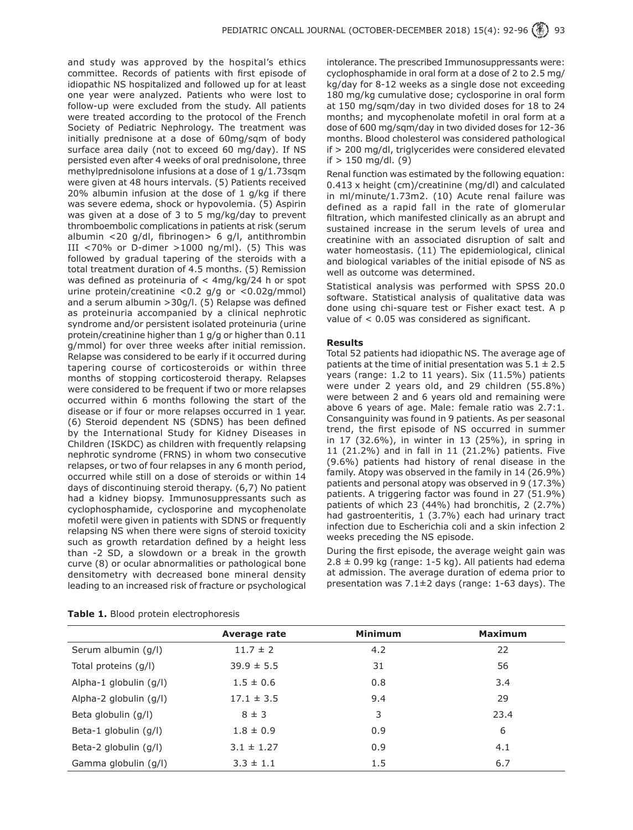and study was approved by the hospital's ethics committee. Records of patients with first episode of idiopathic NS hospitalized and followed up for at least one year were analyzed. Patients who were lost to follow-up were excluded from the study. All patients were treated according to the protocol of the French Society of Pediatric Nephrology. The treatment was initially prednisone at a dose of 60mg/sqm of body surface area daily (not to exceed 60 mg/day). If NS persisted even after 4 weeks of oral prednisolone, three methylprednisolone infusions at a dose of 1 g/1.73sqm were given at 48 hours intervals. (5) Patients received 20% albumin infusion at the dose of 1 g/kg if there was severe edema, shock or hypovolemia. (5) Aspirin was given at a dose of 3 to 5 mg/kg/day to prevent thromboembolic complications in patients at risk (serum albumin <20 g/dl, fibrinogen> 6 g/l, antithrombin III <70% or D-dimer >1000 ng/ml). (5) This was followed by gradual tapering of the steroids with a total treatment duration of 4.5 months. (5) Remission was defined as proteinuria of < 4mg/kg/24 h or spot urine protein/creatinine <0.2 g/g or <0.02g/mmol) and a serum albumin >30g/l. (5) Relapse was defined as proteinuria accompanied by a clinical nephrotic syndrome and/or persistent isolated proteinuria (urine protein/creatinine higher than 1 g/g or higher than 0.11 g/mmol) for over three weeks after initial remission. Relapse was considered to be early if it occurred during tapering course of corticosteroids or within three months of stopping corticosteroid therapy. Relapses were considered to be frequent if two or more relapses occurred within 6 months following the start of the disease or if four or more relapses occurred in 1 year. (6) Steroid dependent NS (SDNS) has been defined by the International Study for Kidney Diseases in Children (ISKDC) as children with frequently relapsing nephrotic syndrome (FRNS) in whom two consecutive relapses, or two of four relapses in any 6 month period, occurred while still on a dose of steroids or within 14 days of discontinuing steroid therapy. (6,7) No patient had a kidney biopsy. Immunosuppressants such as cyclophosphamide, cyclosporine and mycophenolate mofetil were given in patients with SDNS or frequently relapsing NS when there were signs of steroid toxicity such as growth retardation defined by a height less than -2 SD, a slowdown or a break in the growth curve (8) or ocular abnormalities or pathological bone densitometry with decreased bone mineral density leading to an increased risk of fracture or psychological

intolerance. The prescribed Immunosuppressants were: cyclophosphamide in oral form at a dose of 2 to 2.5 mg/ kg/day for 8-12 weeks as a single dose not exceeding 180 mg/kg cumulative dose; cyclosporine in oral form at 150 mg/sqm/day in two divided doses for 18 to 24 months; and mycophenolate mofetil in oral form at a dose of 600 mg/sqm/day in two divided doses for 12-36 months. Blood cholesterol was considered pathological if > 200 mg/dl, triglycerides were considered elevated  $if > 150$  mg/dl. (9)

Renal function was estimated by the following equation: 0.413 x height (cm)/creatinine (mg/dl) and calculated in ml/minute/1.73m2. (10) Acute renal failure was defined as a rapid fall in the rate of glomerular filtration, which manifested clinically as an abrupt and sustained increase in the serum levels of urea and creatinine with an associated disruption of salt and water homeostasis. (11) The epidemiological, clinical and biological variables of the initial episode of NS as well as outcome was determined.

Statistical analysis was performed with SPSS 20.0 software. Statistical analysis of qualitative data was done using chi-square test or Fisher exact test. A p value of < 0.05 was considered as significant.

#### **Results**

Total 52 patients had idiopathic NS. The average age of patients at the time of initial presentation was  $5.1 \pm 2.5$ years (range: 1.2 to 11 years). Six (11.5%) patients were under 2 years old, and 29 children (55.8%) were between 2 and 6 years old and remaining were above 6 years of age. Male: female ratio was 2.7:1. Consanguinity was found in 9 patients. As per seasonal trend, the first episode of NS occurred in summer in 17 (32.6%), in winter in 13 (25%), in spring in 11 (21.2%) and in fall in 11 (21.2%) patients. Five (9.6%) patients had history of renal disease in the family. Atopy was observed in the family in 14 (26.9%) patients and personal atopy was observed in 9 (17.3%) patients. A triggering factor was found in 27 (51.9%) patients of which 23 (44%) had bronchitis, 2 (2.7%) had gastroenteritis, 1 (3.7%) each had urinary tract infection due to Escherichia coli and a skin infection 2 weeks preceding the NS episode.

During the first episode, the average weight gain was  $2.8 \pm 0.99$  kg (range: 1-5 kg). All patients had edema at admission. The average duration of edema prior to presentation was 7.1±2 days (range: 1-63 days). The

|                        | Average rate   | <b>Minimum</b> | <b>Maximum</b> |
|------------------------|----------------|----------------|----------------|
| Serum albumin (g/l)    | $11.7 \pm 2$   | 4.2            | 22             |
| Total proteins (g/l)   | $39.9 \pm 5.5$ | 31             | 56             |
| Alpha-1 globulin (g/l) | $1.5 \pm 0.6$  | 0.8            | 3.4            |
| Alpha-2 globulin (g/l) | $17.1 \pm 3.5$ | 9.4            | 29             |
| Beta globulin (g/l)    | $8 \pm 3$      | 3              | 23.4           |
| Beta-1 globulin (g/l)  | $1.8 \pm 0.9$  | 0.9            | 6              |
| Beta-2 globulin (g/l)  | $3.1 \pm 1.27$ | 0.9            | 4.1            |
| Gamma globulin (g/l)   | $3.3 \pm 1.1$  | 1.5            | 6.7            |

**Table 1.** Blood protein electrophoresis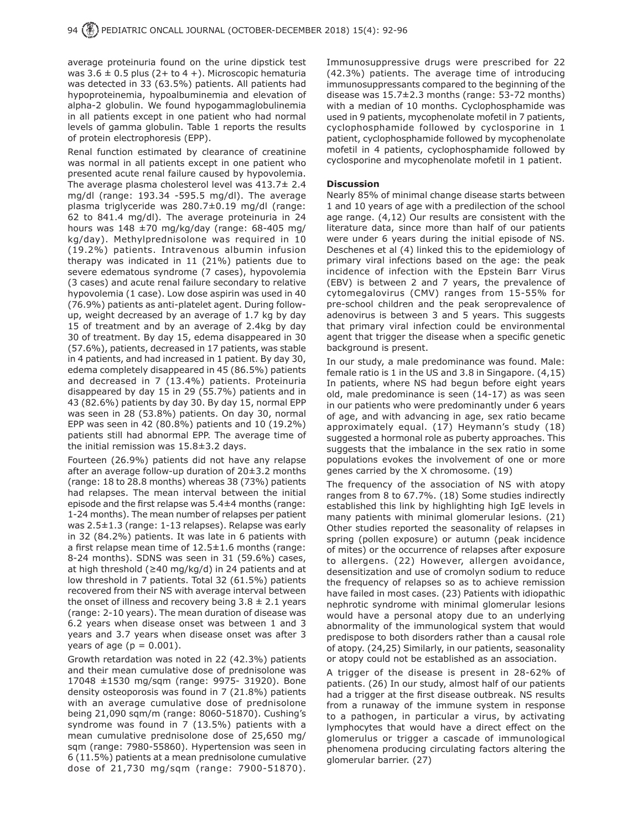average proteinuria found on the urine dipstick test was  $3.6 \pm 0.5$  plus (2+ to 4 +). Microscopic hematuria was detected in 33 (63.5%) patients. All patients had hypoproteinemia, hypoalbuminemia and elevation of alpha-2 globulin. We found hypogammaglobulinemia in all patients except in one patient who had normal levels of gamma globulin. Table 1 reports the results of protein electrophoresis (EPP).

Renal function estimated by clearance of creatinine was normal in all patients except in one patient who presented acute renal failure caused by hypovolemia. The average plasma cholesterol level was 413.7± 2.4 mg/dl (range: 193.34 -595.5 mg/dl). The average plasma triglyceride was 280.7±0.19 mg/dl (range: 62 to 841.4 mg/dl). The average proteinuria in 24 hours was  $148 \pm 70$  mg/kg/day (range: 68-405 mg/ kg/day). Methylprednisolone was required in 10 (19.2%) patients. Intravenous albumin infusion therapy was indicated in 11 (21%) patients due to severe edematous syndrome (7 cases), hypovolemia (3 cases) and acute renal failure secondary to relative hypovolemia (1 case). Low dose aspirin was used in 40 (76.9%) patients as anti-platelet agent. During followup, weight decreased by an average of 1.7 kg by day 15 of treatment and by an average of 2.4kg by day 30 of treatment. By day 15, edema disappeared in 30 (57.6%), patients, decreased in 17 patients, was stable in 4 patients, and had increased in 1 patient. By day 30, edema completely disappeared in 45 (86.5%) patients and decreased in 7 (13.4%) patients. Proteinuria disappeared by day 15 in 29 (55.7%) patients and in 43 (82.6%) patients by day 30. By day 15, normal EPP was seen in 28 (53.8%) patients. On day 30, normal EPP was seen in 42 (80.8%) patients and 10 (19.2%) patients still had abnormal EPP. The average time of the initial remission was 15.8±3.2 days.

Fourteen (26.9%) patients did not have any relapse after an average follow-up duration of 20±3.2 months (range: 18 to 28.8 months) whereas 38 (73%) patients had relapses. The mean interval between the initial episode and the first relapse was 5.4±4 months (range: 1-24 months). The mean number of relapses per patient was 2.5±1.3 (range: 1-13 relapses). Relapse was early in 32 (84.2%) patients. It was late in 6 patients with a first relapse mean time of 12.5±1.6 months (range: 8-24 months). SDNS was seen in 31 (59.6%) cases, at high threshold (≥40 mg/kg/d) in 24 patients and at low threshold in 7 patients. Total 32 (61.5%) patients recovered from their NS with average interval between the onset of illness and recovery being  $3.8 \pm 2.1$  years (range: 2-10 years). The mean duration of disease was 6.2 years when disease onset was between 1 and 3 years and 3.7 years when disease onset was after 3 years of age ( $p = 0.001$ ).

Growth retardation was noted in 22 (42.3%) patients and their mean cumulative dose of prednisolone was 17048 ±1530 mg/sqm (range: 9975- 31920). Bone density osteoporosis was found in 7 (21.8%) patients with an average cumulative dose of prednisolone being 21,090 sqm/m (range: 8060-51870). Cushing's syndrome was found in 7 (13.5%) patients with a mean cumulative prednisolone dose of 25,650 mg/ sqm (range: 7980-55860). Hypertension was seen in 6 (11.5%) patients at a mean prednisolone cumulative dose of 21,730 mg/sqm (range: 7900-51870).

Immunosuppressive drugs were prescribed for 22 (42.3%) patients. The average time of introducing immunosuppressants compared to the beginning of the disease was 15.7±2.3 months (range: 53-72 months) with a median of 10 months. Cyclophosphamide was used in 9 patients, mycophenolate mofetil in 7 patients, cyclophosphamide followed by cyclosporine in 1 patient, cyclophosphamide followed by mycophenolate mofetil in 4 patients, cyclophosphamide followed by cyclosporine and mycophenolate mofetil in 1 patient.

#### **Discussion**

Nearly 85% of minimal change disease starts between 1 and 10 years of age with a predilection of the school age range. (4,12) Our results are consistent with the literature data, since more than half of our patients were under 6 years during the initial episode of NS. Deschenes et al (4) linked this to the epidemiology of primary viral infections based on the age: the peak incidence of infection with the Epstein Barr Virus (EBV) is between 2 and 7 years, the prevalence of cytomegalovirus (CMV) ranges from 15-55% for pre-school children and the peak seroprevalence of adenovirus is between 3 and 5 years. This suggests that primary viral infection could be environmental agent that trigger the disease when a specific genetic background is present.

In our study, a male predominance was found. Male: female ratio is 1 in the US and 3.8 in Singapore. (4,15) In patients, where NS had begun before eight years old, male predominance is seen (14-17) as was seen in our patients who were predominantly under 6 years of age, and with advancing in age, sex ratio became approximately equal. (17) Heymann's study (18) suggested a hormonal role as puberty approaches. This suggests that the imbalance in the sex ratio in some populations evokes the involvement of one or more genes carried by the X chromosome. (19)

The frequency of the association of NS with atopy ranges from 8 to 67.7%. (18) Some studies indirectly established this link by highlighting high IgE levels in many patients with minimal glomerular lesions. (21) Other studies reported the seasonality of relapses in spring (pollen exposure) or autumn (peak incidence of mites) or the occurrence of relapses after exposure to allergens. (22) However, allergen avoidance, desensitization and use of cromolyn sodium to reduce the frequency of relapses so as to achieve remission have failed in most cases. (23) Patients with idiopathic nephrotic syndrome with minimal glomerular lesions would have a personal atopy due to an underlying abnormality of the immunological system that would predispose to both disorders rather than a causal role of atopy. (24,25) Similarly, in our patients, seasonality or atopy could not be established as an association.

A trigger of the disease is present in 28-62% of patients. (26) In our study, almost half of our patients had a trigger at the first disease outbreak. NS results from a runaway of the immune system in response to a pathogen, in particular a virus, by activating lymphocytes that would have a direct effect on the glomerulus or trigger a cascade of immunological phenomena producing circulating factors altering the glomerular barrier. (27)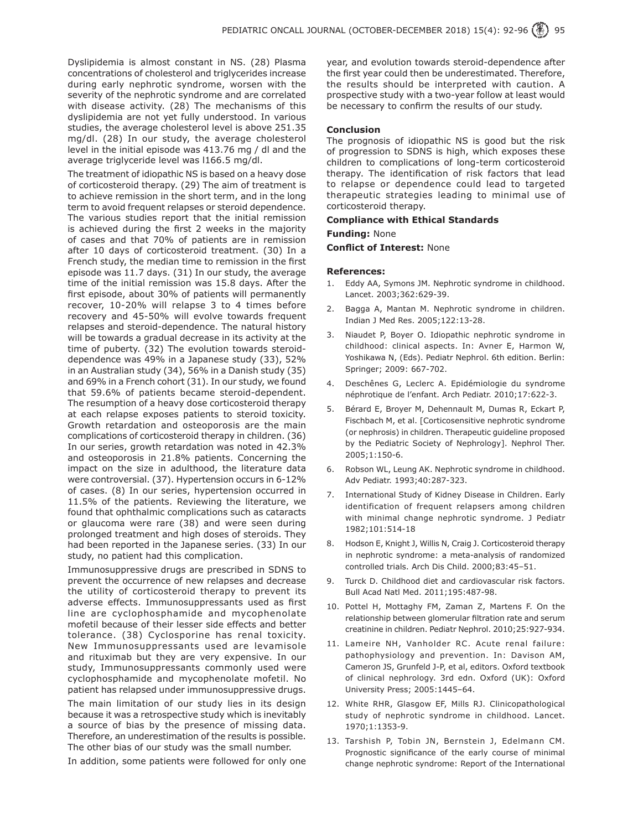Dyslipidemia is almost constant in NS. (28) Plasma concentrations of cholesterol and triglycerides increase during early nephrotic syndrome, worsen with the severity of the nephrotic syndrome and are correlated with disease activity. (28) The mechanisms of this dyslipidemia are not yet fully understood. In various studies, the average cholesterol level is above 251.35 mg/dl. (28) In our study, the average cholesterol level in the initial episode was 413.76 mg / dl and the average triglyceride level was l166.5 mg/dl.

The treatment of idiopathic NS is based on a heavy dose of corticosteroid therapy. (29) The aim of treatment is to achieve remission in the short term, and in the long term to avoid frequent relapses or steroid dependence. The various studies report that the initial remission is achieved during the first 2 weeks in the majority of cases and that 70% of patients are in remission after 10 days of corticosteroid treatment. (30) In a French study, the median time to remission in the first episode was 11.7 days. (31) In our study, the average time of the initial remission was 15.8 days. After the first episode, about 30% of patients will permanently recover, 10-20% will relapse 3 to 4 times before recovery and 45-50% will evolve towards frequent relapses and steroid-dependence. The natural history will be towards a gradual decrease in its activity at the time of puberty. (32) The evolution towards steroiddependence was 49% in a Japanese study (33), 52% in an Australian study (34), 56% in a Danish study (35) and 69% in a French cohort (31). In our study, we found that 59.6% of patients became steroid-dependent. The resumption of a heavy dose corticosteroid therapy at each relapse exposes patients to steroid toxicity. Growth retardation and osteoporosis are the main complications of corticosteroid therapy in children. (36) In our series, growth retardation was noted in 42.3% and osteoporosis in 21.8% patients. Concerning the impact on the size in adulthood, the literature data were controversial. (37). Hypertension occurs in 6-12% of cases. (8) In our series, hypertension occurred in 11.5% of the patients. Reviewing the literature, we found that ophthalmic complications such as cataracts or glaucoma were rare (38) and were seen during prolonged treatment and high doses of steroids. They had been reported in the Japanese series. (33) In our study, no patient had this complication.

Immunosuppressive drugs are prescribed in SDNS to prevent the occurrence of new relapses and decrease the utility of corticosteroid therapy to prevent its adverse effects. Immunosuppressants used as first line are cyclophosphamide and mycophenolate mofetil because of their lesser side effects and better tolerance. (38) Cyclosporine has renal toxicity. New Immunosuppressants used are levamisole and rituximab but they are very expensive. In our study, Immunosuppressants commonly used were cyclophosphamide and mycophenolate mofetil. No patient has relapsed under immunosuppressive drugs.

The main limitation of our study lies in its design because it was a retrospective study which is inevitably a source of bias by the presence of missing data. Therefore, an underestimation of the results is possible. The other bias of our study was the small number.

In addition, some patients were followed for only one

year, and evolution towards steroid-dependence after the first year could then be underestimated. Therefore, the results should be interpreted with caution. A prospective study with a two-year follow at least would be necessary to confirm the results of our study.

#### **Conclusion**

The prognosis of idiopathic NS is good but the risk of progression to SDNS is high, which exposes these children to complications of long-term corticosteroid therapy. The identification of risk factors that lead to relapse or dependence could lead to targeted therapeutic strategies leading to minimal use of corticosteroid therapy.

## **Compliance with Ethical Standards**

## **Funding:** None

**Conflict of Interest:** None

#### **References:**

- 1. Eddy AA, Symons JM. Nephrotic syndrome in childhood. Lancet. 2003;362:629-39.
- 2. Bagga A, Mantan M. Nephrotic syndrome in children. Indian J Med Res. 2005;122:13-28.
- 3. Niaudet P, Boyer O. Idiopathic nephrotic syndrome in childhood: clinical aspects. In: Avner E, Harmon W, Yoshikawa N, (Eds). Pediatr Nephrol. 6th edition. Berlin: Springer; 2009: 667-702.
- 4. Deschênes G, Leclerc A. Epidémiologie du syndrome néphrotique de l'enfant. Arch Pediatr. 2010;17:622-3.
- 5. Bérard E, Broyer M, Dehennault M, Dumas R, Eckart P, Fischbach M, et al. [Corticosensitive nephrotic syndrome (or nephrosis) in children. Therapeutic guideline proposed by the Pediatric Society of Nephrology]. Nephrol Ther. 2005;1:150-6.
- 6. Robson WL, Leung AK. Nephrotic syndrome in childhood. Adv Pediatr. 1993;40:287-323.
- 7. International Study of Kidney Disease in Children. Early identification of frequent relapsers among children with minimal change nephrotic syndrome. J Pediatr 1982;101:514-18
- 8. Hodson E, Knight J, Willis N, Craig J. Corticosteroid therapy in nephrotic syndrome: a meta-analysis of randomized controlled trials. Arch Dis Child. 2000;83:45–51.
- 9. Turck D. Childhood diet and cardiovascular risk factors. Bull Acad Natl Med. 2011;195:487-98.
- 10. Pottel H, Mottaghy FM, Zaman Z, Martens F. On the relationship between glomerular filtration rate and serum creatinine in children. Pediatr Nephrol. 2010;25:927-934.
- 11. Lameire NH, Vanholder RC. Acute renal failure: pathophysiology and prevention. In: Davison AM, Cameron JS, Grunfeld J-P, et al, editors. Oxford textbook of clinical nephrology. 3rd edn. Oxford (UK): Oxford University Press; 2005:1445–64.
- 12. White RHR, Glasgow EF, Mills RJ. Clinicopathological study of nephrotic syndrome in childhood. Lancet. 1970;1:1353-9.
- 13. Tarshish P, Tobin JN, Bernstein J, Edelmann CM. Prognostic significance of the early course of minimal change nephrotic syndrome: Report of the International